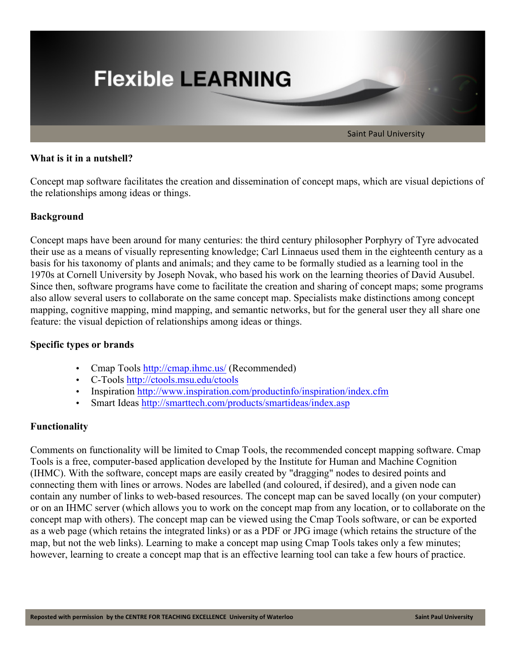

# **What is it in a nutshell?**

Concept map software facilitates the creation and dissemination of concept maps, which are visual depictions of the relationships among ideas or things.

## **Background**

Concept maps have been around for many centuries: the third century philosopher Porphyry of Tyre advocated their use as a means of visually representing knowledge; Carl Linnaeus used them in the eighteenth century as a basis for his taxonomy of plants and animals; and they came to be formally studied as a learning tool in the 1970s at Cornell University by Joseph Novak, who based his work on the learning theories of David Ausubel. Since then, software programs have come to facilitate the creation and sharing of concept maps; some programs also allow several users to collaborate on the same concept map. Specialists make distinctions among concept mapping, cognitive mapping, mind mapping, and semantic networks, but for the general user they all share one feature: the visual depiction of relationships among ideas or things.

# **Specific types or brands**

- Cmap Tools http://cmap.ihmc.us/ (Recommended)
- C-Tools http://ctools.msu.edu/ctools
- Inspiration http://www.inspiration.com/productinfo/inspiration/index.cfm
- Smart Ideas http://smarttech.com/products/smartideas/index.asp

# **Functionality**

Comments on functionality will be limited to Cmap Tools, the recommended concept mapping software. Cmap Tools is a free, computer-based application developed by the Institute for Human and Machine Cognition (IHMC). With the software, concept maps are easily created by "dragging" nodes to desired points and connecting them with lines or arrows. Nodes are labelled (and coloured, if desired), and a given node can contain any number of links to web-based resources. The concept map can be saved locally (on your computer) or on an IHMC server (which allows you to work on the concept map from any location, or to collaborate on the concept map with others). The concept map can be viewed using the Cmap Tools software, or can be exported as a web page (which retains the integrated links) or as a PDF or JPG image (which retains the structure of the map, but not the web links). Learning to make a concept map using Cmap Tools takes only a few minutes; however, learning to create a concept map that is an effective learning tool can take a few hours of practice.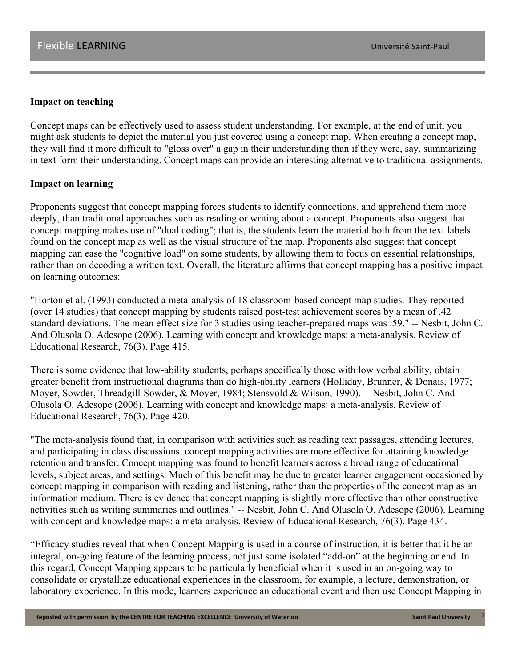## **Impact on teaching**

Concept maps can be effectively used to assess student understanding. For example, at the end of unit, you might ask students to depict the material you just covered using a concept map. When creating a concept map, they will find it more difficult to "gloss over" a gap in their understanding than if they were, say, summarizing in text form their understanding. Concept maps can provide an interesting alternative to traditional assignments.

### **Impact on learning**

Proponents suggest that concept mapping forces students to identify connections, and apprehend them more deeply, than traditional approaches such as reading or writing about a concept. Proponents also suggest that concept mapping makes use of "dual coding"; that is, the students learn the material both from the text labels found on the concept map as well as the visual structure of the map. Proponents also suggest that concept mapping can ease the "cognitive load" on some students, by allowing them to focus on essential relationships, rather than on decoding a written text. Overall, the literature affirms that concept mapping has a positive impact on learning outcomes:

"Horton et al. (1993) conducted a meta-analysis of 18 classroom-based concept map studies. They reported (over 14 studies) that concept mapping by students raised post-test achievement scores by a mean of .42 standard deviations. The mean effect size for 3 studies using teacher-prepared maps was .59." -- Nesbit, John C. And Olusola O. Adesope (2006). Learning with concept and knowledge maps: a meta-analysis. Review of Educational Research, 76(3). Page 415.

There is some evidence that low-ability students, perhaps specifically those with low verbal ability, obtain greater benefit from instructional diagrams than do high-ability learners (Holliday, Brunner, & Donais, 1977; Moyer, Sowder, Threadgill-Sowder, & Moyer, 1984; Stensvold & Wilson, 1990). -- Nesbit, John C. And Olusola O. Adesope (2006). Learning with concept and knowledge maps: a meta-analysis. Review of Educational Research, 76(3). Page 420.

"The meta-analysis found that, in comparison with activities such as reading text passages, attending lectures, and participating in class discussions, concept mapping activities are more effective for attaining knowledge retention and transfer. Concept mapping was found to benefit learners across a broad range of educational levels, subject areas, and settings. Much of this benefit may be due to greater learner engagement occasioned by concept mapping in comparison with reading and listening, rather than the properties of the concept map as an information medium. There is evidence that concept mapping is slightly more effective than other constructive activities such as writing summaries and outlines." -- Nesbit, John C. And Olusola O. Adesope (2006). Learning with concept and knowledge maps: a meta-analysis. Review of Educational Research, 76(3). Page 434.

"Efficacy studies reveal that when Concept Mapping is used in a course of instruction, it is better that it be an integral, on-going feature of the learning process, not just some isolated "add-on" at the beginning or end. In this regard, Concept Mapping appears to be particularly beneficial when it is used in an on-going way to consolidate or crystallize educational experiences in the classroom, for example, a lecture, demonstration, or laboratory experience. In this mode, learners experience an educational event and then use Concept Mapping in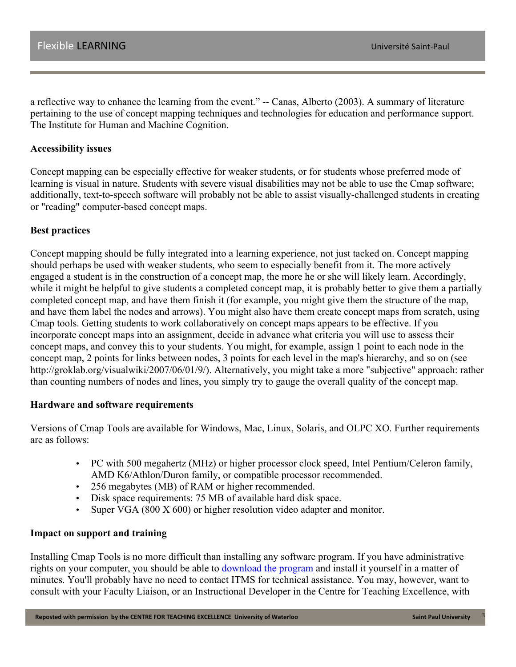a reflective way to enhance the learning from the event." -- Canas, Alberto (2003). A summary of literature pertaining to the use of concept mapping techniques and technologies for education and performance support. The Institute for Human and Machine Cognition.

### **Accessibility issues**

Concept mapping can be especially effective for weaker students, or for students whose preferred mode of learning is visual in nature. Students with severe visual disabilities may not be able to use the Cmap software; additionally, text-to-speech software will probably not be able to assist visually-challenged students in creating or "reading" computer-based concept maps.

## **Best practices**

Concept mapping should be fully integrated into a learning experience, not just tacked on. Concept mapping should perhaps be used with weaker students, who seem to especially benefit from it. The more actively engaged a student is in the construction of a concept map, the more he or she will likely learn. Accordingly, while it might be helpful to give students a completed concept map, it is probably better to give them a partially completed concept map, and have them finish it (for example, you might give them the structure of the map, and have them label the nodes and arrows). You might also have them create concept maps from scratch, using Cmap tools. Getting students to work collaboratively on concept maps appears to be effective. If you incorporate concept maps into an assignment, decide in advance what criteria you will use to assess their concept maps, and convey this to your students. You might, for example, assign 1 point to each node in the concept map, 2 points for links between nodes, 3 points for each level in the map's hierarchy, and so on (see http://groklab.org/visualwiki/2007/06/01/9/). Alternatively, you might take a more "subjective" approach: rather than counting numbers of nodes and lines, you simply try to gauge the overall quality of the concept map.

### **Hardware and software requirements**

Versions of Cmap Tools are available for Windows, Mac, Linux, Solaris, and OLPC XO. Further requirements are as follows:

- PC with 500 megahertz (MHz) or higher processor clock speed, Intel Pentium/Celeron family, AMD K6/Athlon/Duron family, or compatible processor recommended.
- 256 megabytes (MB) of RAM or higher recommended.
- Disk space requirements: 75 MB of available hard disk space.
- Super VGA (800 X 600) or higher resolution video adapter and monitor.

### **Impact on support and training**

Installing Cmap Tools is no more difficult than installing any software program. If you have administrative rights on your computer, you should be able to download the program and install it yourself in a matter of minutes. You'll probably have no need to contact ITMS for technical assistance. You may, however, want to consult with your Faculty Liaison, or an Instructional Developer in the Centre for Teaching Excellence, with